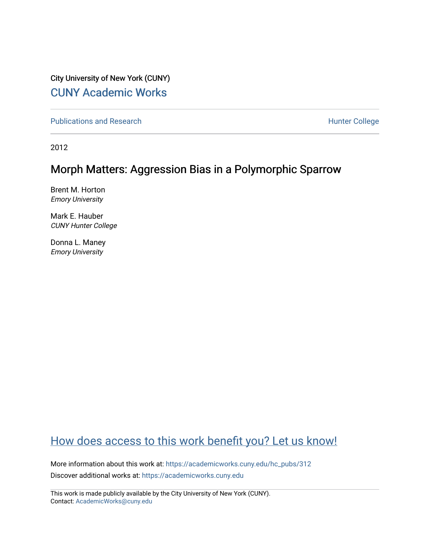City University of New York (CUNY) [CUNY Academic Works](https://academicworks.cuny.edu/) 

[Publications and Research](https://academicworks.cuny.edu/hc_pubs) **Hunter College** Hunter College

2012

## Morph Matters: Aggression Bias in a Polymorphic Sparrow

Brent M. Horton Emory University

Mark E. Hauber CUNY Hunter College

Donna L. Maney Emory University

# [How does access to this work benefit you? Let us know!](http://ols.cuny.edu/academicworks/?ref=https://academicworks.cuny.edu/hc_pubs/312)

More information about this work at: [https://academicworks.cuny.edu/hc\\_pubs/312](https://academicworks.cuny.edu/hc_pubs/312) Discover additional works at: [https://academicworks.cuny.edu](https://academicworks.cuny.edu/?)

This work is made publicly available by the City University of New York (CUNY). Contact: [AcademicWorks@cuny.edu](mailto:AcademicWorks@cuny.edu)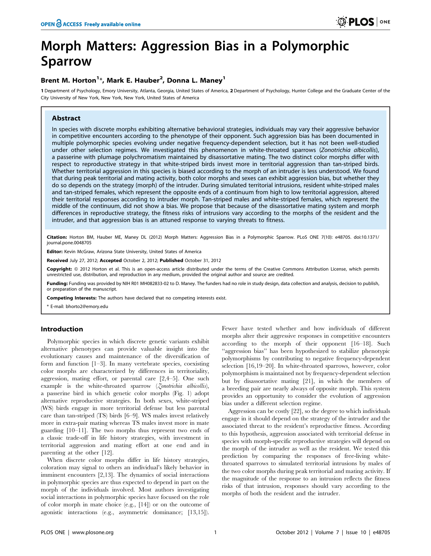# Morph Matters: Aggression Bias in a Polymorphic Sparrow

## Brent M. Horton<sup>1</sup>\*, Mark E. Hauber<sup>2</sup>, Donna L. Maney<sup>1</sup>

1 Department of Psychology, Emory University, Atlanta, Georgia, United States of America, 2 Department of Psychology, Hunter College and the Graduate Center of the City University of New York, New York, New York, United States of America

## Abstract

In species with discrete morphs exhibiting alternative behavioral strategies, individuals may vary their aggressive behavior in competitive encounters according to the phenotype of their opponent. Such aggression bias has been documented in multiple polymorphic species evolving under negative frequency-dependent selection, but it has not been well-studied under other selection regimes. We investigated this phenomenon in white-throated sparrows (Zonotrichia albicollis), a passerine with plumage polychromatism maintained by disassortative mating. The two distinct color morphs differ with respect to reproductive strategy in that white-striped birds invest more in territorial aggression than tan-striped birds. Whether territorial aggression in this species is biased according to the morph of an intruder is less understood. We found that during peak territorial and mating activity, both color morphs and sexes can exhibit aggression bias, but whether they do so depends on the strategy (morph) of the intruder. During simulated territorial intrusions, resident white-striped males and tan-striped females, which represent the opposite ends of a continuum from high to low territorial aggression, altered their territorial responses according to intruder morph. Tan-striped males and white-striped females, which represent the middle of the continuum, did not show a bias. We propose that because of the disassortative mating system and morph differences in reproductive strategy, the fitness risks of intrusions vary according to the morphs of the resident and the intruder, and that aggression bias is an attuned response to varying threats to fitness.

Citation: Horton BM, Hauber ME, Maney DL (2012) Morph Matters: Aggression Bias in a Polymorphic Sparrow. PLoS ONE 7(10): e48705. doi:10.1371/ journal.pone.0048705

Editor: Kevin McGraw, Arizona State University, United States of America

Received July 27, 2012; Accepted October 2, 2012; Published October 31, 2012

Copyright: © 2012 Horton et al. This is an open-access article distributed under the terms of the Creative Commons Attribution License, which permits unrestricted use, distribution, and reproduction in any medium, provided the original author and source are credited.

Funding: Funding was provided by NIH R01 MH082833-02 to D. Maney. The funders had no role in study design, data collection and analysis, decision to publish, or preparation of the manuscript.

Competing Interests: The authors have declared that no competing interests exist.

\* E-mail: bhorto2@emory.edu

## Introduction

Polymorphic species in which discrete genetic variants exhibit alternative phenotypes can provide valuable insight into the evolutionary causes and maintenance of the diversification of form and function [1–3]. In many vertebrate species, coexisting color morphs are characterized by differences in territoriality, aggression, mating effort, or parental care [2,4–5]. One such example is the white-throated sparrow (Zonotrichia albicollis), a passerine bird in which genetic color morphs (Fig. 1) adopt alternative reproductive strategies. In both sexes, white-striped (WS) birds engage in more territorial defense but less parental care than tan-striped (TS) birds [6–9]. WS males invest relatively more in extra-pair mating whereas TS males invest more in mate guarding [10–11]. The two morphs thus represent two ends of a classic trade-off in life history strategies, with investment in territorial aggression and mating effort at one end and in parenting at the other [12].

When discrete color morphs differ in life history strategies, coloration may signal to others an individual's likely behavior in imminent encounters [2,13]. The dynamics of social interactions in polymorphic species are thus expected to depend in part on the morph of the individuals involved. Most authors investigating social interactions in polymorphic species have focused on the role of color morph in mate choice (e.g., [14]) or on the outcome of agonistic interactions (e.g., asymmetric dominance; [13,15]).

Fewer have tested whether and how individuals of different morphs alter their aggressive responses in competitive encounters according to the morph of their opponent [16–18]. Such ''aggression bias'' has been hypothesized to stabilize phenotypic polymorphisms by contributing to negative frequency-dependent selection [16,19–20]. In white-throated sparrows, however, color polymorphism is maintained not by frequency-dependent selection but by disassortative mating [21], in which the members of a breeding pair are nearly always of opposite morph. This system provides an opportunity to consider the evolution of aggression bias under a different selection regime.

Aggression can be costly [22], so the degree to which individuals engage in it should depend on the strategy of the intruder and the associated threat to the resident's reproductive fitness. According to this hypothesis, aggression associated with territorial defense in species with morph-specific reproductive strategies will depend on the morph of the intruder as well as the resident. We tested this prediction by comparing the responses of free-living whitethroated sparrows to simulated territorial intrusions by males of the two color morphs during peak territorial and mating activity. If the magnitude of the response to an intrusion reflects the fitness risks of that intrusion, responses should vary according to the morphs of both the resident and the intruder.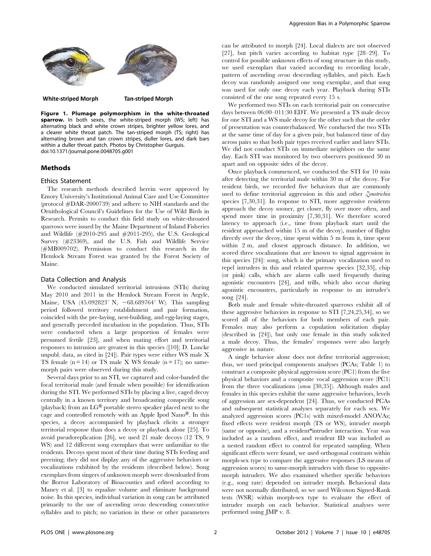

Figure 1. Plumage polymorphism in the white-throated sparrow. In both sexes, the white-striped morph (WS; left) has alternating black and white crown stripes, brighter yellow lores, and a clearer white throat patch. The tan-striped morph (TS; right) has alternating brown and tan crown stripes, duller lores, and dark bars within a duller throat patch. Photos by Christopher Gurguis. doi:10.1371/journal.pone.0048705.g001

#### Methods

#### Ethics Statement

The research methods described herein were approved by Emory University's Institutional Animal Care and Use Committee (protocol #DAR-2000739) and adhere to NIH standards and the Ornithological Council's Guidelines for the Use of Wild Birds in Research. Permits to conduct this field study on white-throated sparrows were issued by the Maine Department of Inland Fisheries and Wildlife  $(\#2010-295 \text{ and } \#2011-295)$ , the U.S. Geological Survey (#23369), and the U.S. Fish and Wildlife Service (#MB009702). Permission to conduct this research in the Hemlock Stream Forest was granted by the Forest Society of Maine.

#### Data Collection and Analysis

We conducted simulated territorial intrusions (STIs) during May 2010 and 2011 in the Hemlock Stream Forest in Argyle, Maine, USA (45.092823 $\textdegree$  N,  $-68.689764\textdegree$  W). This sampling period followed territory establishment and pair formation, coincided with the pre-laying, nest-building, and egg-laying stages, and generally preceded incubation in the population. Thus, STIs were conducted when a large proportion of females were presumed fertile [23], and when mating effort and territorial responses to intrusion are greatest in this species ([10]; D. Loncke unpubl. data, as cited in [24]). Pair types were either WS male X TS female  $(n = 14)$  or TS male X WS female  $(n = 17)$ ; no samemorph pairs were observed during this study.

Several days prior to an STI, we captured and color-banded the focal territorial male (and female when possible) for identification during the STI. We performed STIs by placing a live, caged decoy centrally in a known territory and broadcasting conspecific song (playback) from an  $LG^{\circledR}$  portable stereo speaker placed next to the cage and controlled remotely with an Apple Ipod Nano®. In this species, a decoy accompanied by playback elicits a stronger territorial response than does a decoy or playback alone [25]. To avoid pseudoreplication [26], we used 21 male decoys (12 TS, 9 WS) and 12 different song exemplars that were unfamiliar to the residents. Decoys spent most of their time during STIs feeding and preening; they did not display any of the aggressive behaviors or vocalizations exhibited by the residents (described below). Song exemplars from singers of unknown morph were downloaded from the Borror Laboratory of Bioacoustics and edited according to Maney et al. [3] to equalize volume and eliminate background noise. In this species, individual variation in song can be attributed primarily to the use of ascending versus descending consecutive syllables and to pitch; no variation in these or other parameters can be attributed to morph [24]. Local dialects are not observed [27], but pitch varies according to habitat type [28–29]. To control for possible unknown effects of song structure in this study, we used exemplars that varied according to recording locale, pattern of ascending versus descending syllables, and pitch. Each decoy was randomly assigned one song exemplar, and that song was used for only one decoy each year. Playback during STIs consisted of the one song repeated every 15 s.

We performed two STIs on each territorial pair on consecutive days between 06:00–011:30 EDT. We presented a TS male decoy for one STI and a WS male decoy for the other such that the order of presentation was counterbalanced. We conducted the two STIs at the same time of day for a given pair, but balanced time of day across pairs so that both pair types received earlier and later STIs. We did not conduct STIs on immediate neighbors on the same day. Each STI was monitored by two observers positioned 30 m apart and on opposite sides of the decoy.

Once playback commenced, we conducted the STI for 10 min after detecting the territorial male within 30 m of the decoy. For resident birds, we recorded five behaviors that are commonly used to define territorial aggression in this and other Zonotrichia species [7,30,31]. In response to STI, more aggressive residents approach the decoy sooner, get closer, fly over more often, and spend more time in proximity [7,30,31]. We therefore scored latency to approach (i.e., time from playback start until the resident approached within 15 m of the decoy), number of flights directly over the decoy, time spent within 5 m from it, time spent within 2 m, and closest approach distance. In addition, we scored three vocalizations that are known to signal aggression in this species [24]: song, which is the primary vocalization used to repel intruders in this and related sparrow species [32,33], chip (or pink) calls, which are alarm calls used frequently during agonistic encounters [24], and trills, which also occur during agonistic encounters, particularly in response to an intruder's song [24].

Both male and female white-throated sparrows exhibit all of these aggressive behaviors in response to STI [7,24,25,34], so we scored all of the behaviors for both members of each pair. Females may also perform a copulation solicitation display (described in [24]), but only one female in this study solicited a male decoy. Thus, the females' responses were also largely aggressive in nature.

A single behavior alone does not define territorial aggression; thus, we used principal components analyses (PCAs; Table 1) to construct a composite physical aggression score (PC1) from the five physical behaviors and a composite vocal aggression score (PC1) from the three vocalizations (sensu [30,35]). Although males and females in this species exhibit the same aggressive behaviors, levels of aggression are sex-dependent [24]. Thus, we conducted PCAs and subsequent statistical analyses separately for each sex. We analyzed aggression scores (PC1s) with mixed-model ANOVAs; fixed effects were resident morph (TS or WS), intruder morph (same or opposite), and a resident\*intruder interaction. Year was included as a random effect, and resident ID was included as a nested random effect to control for repeated sampling. When significant effects were found, we used orthogonal contrasts within morph-sex type to compare the aggressive responses (LS means of aggression scores) to same-morph intruders with those to oppositemorph intruders. We also examined whether specific behaviors (e.g., song rate) depended on intruder morph. Behavioral data were not normally distributed, so we used Wilcoxon Signed-Rank tests (WSR) within morph-sex type to evaluate the effect of intruder morph on each behavior. Statistical analyses were performed using JMP v. 8.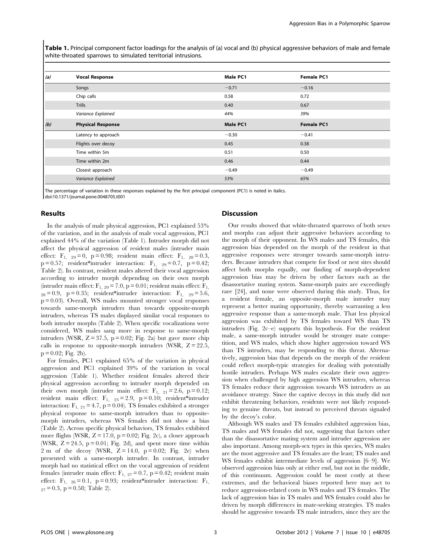**Table 1.** Principal component factor loadings for the analysis of (a) vocal and (b) physical aggressive behaviors of male and female white-throated sparrows to simulated territorial intrusions.

| (a) | <b>Vocal Response</b>    | Male PC1 | <b>Female PC1</b> |
|-----|--------------------------|----------|-------------------|
|     | Songs                    | $-0.71$  | $-0.16$           |
|     | Chip calls               | 0.58     | 0.72              |
|     | <b>Trills</b>            | 0.40     | 0.67              |
|     | Variance Explained       | 44%      | 39%               |
| (b) | <b>Physical Response</b> | Male PC1 | <b>Female PC1</b> |
|     | Latency to approach      | $-0.30$  | $-0.41$           |
|     | Flights over decoy       | 0.45     | 0.38              |
|     | Time within 5m           | 0.51     | 0.50              |
|     | Time within 2m           | 0.46     | 0.44              |
|     | Closest approach         | $-0.49$  | $-0.49$           |
|     | Variance Explained       | 53%      | 65%               |

The percentage of variation in these responses explained by the first principal component (PC1) is noted in italics. doi:10.1371/journal.pone.0048705.t001

## Results

In the analysis of male physical aggression, PC1 explained 53% of the variation, and in the analysis of male vocal aggression, PC1 explained 44% of the variation (Table 1). Intruder morph did not affect the physical aggression of resident males (intruder main effect:  $F_{1, 29} = 0$ , p = 0.98; resident main effect:  $F_{1, 28} = 0.3$ ,  $p = 0.57$ ; resident\*intruder interaction:  $F_{1, 29} = 0.7$ ,  $p = 0.42$ ; Table 2). In contrast, resident males altered their vocal aggression according to intruder morph depending on their own morph (intruder main effect:  $F_{1, 29} = 7.0$ , p = 0.01; resident main effect:  $F_{1, 29}$  $_{28}$  = 0.9, p = 0.35; resident\*intruder interaction: F<sub>1, 29</sub> = 5.6, p = 0.03). Overall, WS males mounted stronger vocal responses towards same-morph intruders than towards opposite-morph intruders, whereas TS males displayed similar vocal responses to both intruder morphs (Table 2). When specific vocalizations were considered, WS males sang more in response to same-morph intruders (WSR,  $Z = 37.5$ ,  $p = 0.02$ ; Fig. 2a) but gave more chip calls in response to opposite-morph intruders (WSR,  $Z = 22.5$ ,  $p = 0.02$ ; Fig. 2b).

For females, PC1 explained 65% of the variation in physical aggression and PC1 explained 39% of the variation in vocal aggression (Table 1). Whether resident females altered their physical aggression according to intruder morph depended on their own morph (intruder main effect:  $F_{1, 21} = 2.6$ , p = 0.12; resident main effect:  $F_{1, 23} = 2.9$ ,  $p = 0.10$ ; resident\*intruder interaction:  $F_{1, 21} = 4.7$ , p = 0.04). TS females exhibited a stronger physical response to same-morph intruders than to oppositemorph intruders, whereas WS females did not show a bias (Table 2). Across specific physical behaviors, TS females exhibited more flights (WSR,  $Z = 17.0$ ,  $p = 0.02$ ; Fig. 2c), a closer approach (WSR,  $Z = 24.5$ ,  $p = 0.01$ ; Fig. 2d), and spent more time within 2 m of the decoy (WSR,  $Z = 14.0$ ,  $p = 0.02$ ; Fig. 2e) when presented with a same-morph intruder. In contrast, intruder morph had no statistical effect on the vocal aggression of resident females (intruder main effect:  $F_{1, 27} = 0.7$ , p = 0.42; resident main effect:  $F_1$ ,  $_{26} = 0.1$ ,  $p = 0.93$ ; resident\*intruder interaction:  $F_1$  $_{27}$  = 0.3, p = 0.58; Table 2).

## Discussion

Our results showed that white-throated sparrows of both sexes and morphs can adjust their aggressive behaviors according to the morph of their opponent. In WS males and TS females, this aggression bias depended on the morph of the resident in that aggressive responses were stronger towards same-morph intruders. Because intruders that compete for food or nest sites should affect both morphs equally, our finding of morph-dependent aggression bias may be driven by other factors such as the disassortative mating system. Same-morph pairs are exceedingly rare [24], and none were observed during this study. Thus, for a resident female, an opposite-morph male intruder may represent a better mating opportunity, thereby warranting a less aggressive response than a same-morph male. That less physical aggression was exhibited by TS females toward WS than TS intruders (Fig. 2c–e) supports this hypothesis. For the resident male, a same-morph intruder would be stronger mate competition, and WS males, which show higher aggression toward WS than TS intruders, may be responding to this threat. Alternatively, aggression bias that depends on the morph of the resident could reflect morph-typic strategies for dealing with potentially hostile intruders. Perhaps WS males escalate their own aggression when challenged by high aggression WS intruders, whereas TS females reduce their aggression towards WS intruders as an avoidance strategy. Since the captive decoys in this study did not exhibit threatening behaviors, residents were not likely responding to genuine threats, but instead to perceived threats signaled by the decoy's color.

Although WS males and TS females exhibited aggression bias, TS males and WS females did not, suggesting that factors other than the disassortative mating system and intruder aggression are also important. Among morph-sex types in this species, WS males are the most aggressive and TS females are the least; TS males and WS females exhibit intermediate levels of aggression [6–9]. We observed aggression bias only at either end, but not in the middle, of this continuum. Aggression could be most costly at these extremes, and the behavioral biases reported here may act to reduce aggression-related costs in WS males and TS females. The lack of aggression bias in TS males and WS females could also be driven by morph differences in mate-seeking strategies. TS males should be aggressive towards TS male intruders, since they are the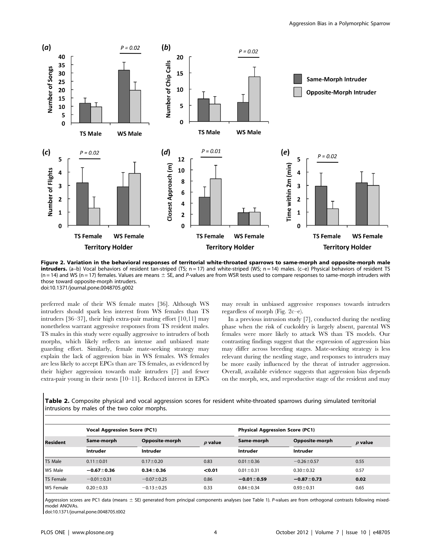

Figure 2. Variation in the behavioral responses of territorial white-throated sparrows to same-morph and opposite-morph male  $intruders.$  (a–b) Vocal behaviors of resident tan-striped (TS;  $n = 17$ ) and white-striped (WS;  $n = 14$ ) males. (c–e) Physical behaviors of resident TS  $(n = 14)$  and WS (n = 17) females. Values are means  $\pm$  SE, and P-values are from WSR tests used to compare responses to same-morph intruders with those toward opposite-morph intruders. doi:10.1371/journal.pone.0048705.g002

preferred male of their WS female mates [36]. Although WS intruders should spark less interest from WS females than TS intruders [36–37], their high extra-pair mating effort [10,11] may nonetheless warrant aggressive responses from TS resident males. TS males in this study were equally aggressive to intruders of both morphs, which likely reflects an intense and unbiased mate guarding effort. Similarly, female mate-seeking strategy may explain the lack of aggression bias in WS females. WS females are less likely to accept EPCs than are TS females, as evidenced by their higher aggression towards male intruders [7] and fewer extra-pair young in their nests [10–11]. Reduced interest in EPCs

may result in unbiased aggressive responses towards intruders regardless of morph (Fig. 2c–e).

In a previous intrusion study [7], conducted during the nestling phase when the risk of cuckoldry is largely absent, parental WS females were more likely to attack WS than TS models. Our contrasting findings suggest that the expression of aggression bias may differ across breeding stages. Mate-seeking strategy is less relevant during the nestling stage, and responses to intruders may be more easily influenced by the threat of intruder aggression. Overall, available evidence suggests that aggression bias depends on the morph, sex, and reproductive stage of the resident and may

|                                              |  |  | Table 2. Composite physical and vocal aggression scores for resident white-throated sparrows during simulated territorial |  |  |
|----------------------------------------------|--|--|---------------------------------------------------------------------------------------------------------------------------|--|--|
| intrusions by males of the two color morphs. |  |  |                                                                                                                           |  |  |

| Resident         | <b>Vocal Aggression Score (PC1)</b> |                  |           | <b>Physical Aggression Score (PC1)</b> |                  |           |
|------------------|-------------------------------------|------------------|-----------|----------------------------------------|------------------|-----------|
|                  | Same-morph                          | Opposite-morph   | $p$ value | Same-morph                             | Opposite-morph   | $p$ value |
|                  | Intruder                            | Intruder         |           | Intruder                               | Intruder         |           |
| <b>TS Male</b>   | $0.11 \pm 0.01$                     | $0.17 \pm 0.20$  | 0.83      | $0.01 \pm 0.36$                        | $-0.26 \pm 0.57$ | 0.55      |
| <b>WS Male</b>   | $-0.67 \pm 0.36$                    | $0.34 \pm 0.36$  | < 0.01    | $0.01 \pm 0.31$                        | $0.30 \pm 0.32$  | 0.57      |
| <b>TS Female</b> | $-0.01 \pm 0.31$                    | $-0.07 \pm 0.25$ | 0.86      | $-0.01 \pm 0.59$                       | $-0.87 \pm 0.73$ | 0.02      |
| <b>WS Female</b> | $0.20 \pm 0.33$                     | $-0.13 \pm 0.25$ | 0.33      | $0.84 \pm 0.34$                        | $0.93 \pm 0.31$  | 0.65      |

Aggression scores are PC1 data (means  $\pm$  SE) generated from principal components analyses (see Table 1). P-values are from orthogonal contrasts following mixedmodel ANOVAs.

doi:10.1371/journal.pone.0048705.t002